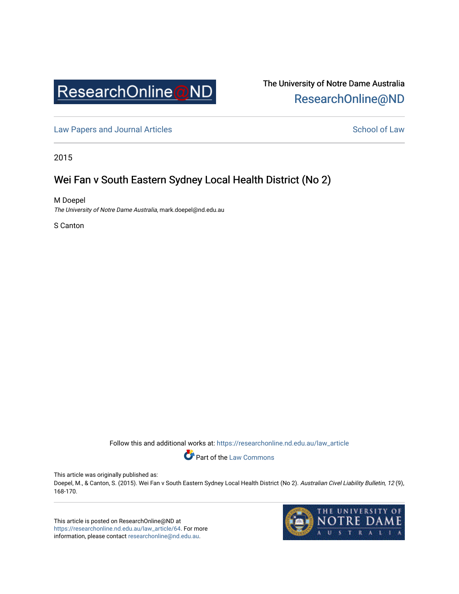

# The University of Notre Dame Australia [ResearchOnline@ND](https://researchonline.nd.edu.au/)

[Law Papers and Journal Articles](https://researchonline.nd.edu.au/law_article) and School of Law

2015

# Wei Fan v South Eastern Sydney Local Health District (No 2)

M Doepel The University of Notre Dame Australia, mark.doepel@nd.edu.au

S Canton

Follow this and additional works at: [https://researchonline.nd.edu.au/law\\_article](https://researchonline.nd.edu.au/law_article?utm_source=researchonline.nd.edu.au%2Flaw_article%2F64&utm_medium=PDF&utm_campaign=PDFCoverPages) 



This article was originally published as:

Doepel, M., & Canton, S. (2015). Wei Fan v South Eastern Sydney Local Health District (No 2). Australian Civel Liability Bulletin, 12 (9), 168-170.

This article is posted on ResearchOnline@ND at [https://researchonline.nd.edu.au/law\\_article/64](https://researchonline.nd.edu.au/law_article/64). For more information, please contact [researchonline@nd.edu.au.](mailto:researchonline@nd.edu.au)

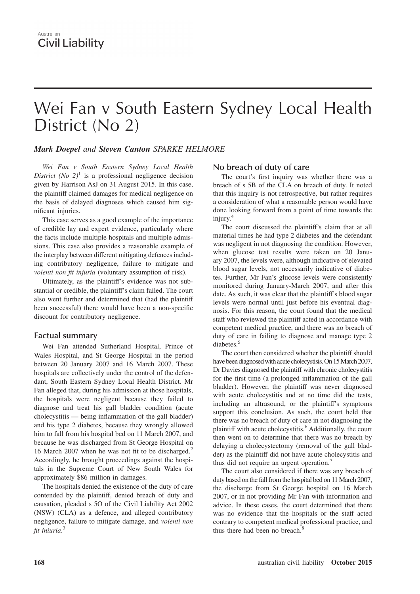# Wei Fan v South Eastern Sydney Local Health District (No 2)

### *Mark Doepel and Steven Canton SPARKE HELMORE*

*Wei Fan v South Eastern Sydney Local Health District* (*No*  $2$ )<sup>1</sup> is a professional negligence decision given by Harrison AsJ on 31 August 2015. In this case, the plaintiff claimed damages for medical negligence on the basis of delayed diagnoses which caused him significant injuries.

This case serves as a good example of the importance of credible lay and expert evidence, particularly where the facts include multiple hospitals and multiple admissions. This case also provides a reasonable example of the interplay between different mitigating defences including contributory negligence, failure to mitigate and *volenti non fit injuria* (voluntary assumption of risk).

Ultimately, as the plaintiff's evidence was not substantial or credible, the plaintiff's claim failed. The court also went further and determined that (had the plaintiff been successful) there would have been a non-specific discount for contributory negligence.

## **Factual summary**

Wei Fan attended Sutherland Hospital, Prince of Wales Hospital, and St George Hospital in the period between 20 January 2007 and 16 March 2007. These hospitals are collectively under the control of the defendant, South Eastern Sydney Local Health District. Mr Fan alleged that, during his admission at those hospitals, the hospitals were negligent because they failed to diagnose and treat his gall bladder condition (acute cholecystitis — being inflammation of the gall bladder) and his type 2 diabetes, because they wrongly allowed him to fall from his hospital bed on 11 March 2007, and because he was discharged from St George Hospital on 16 March 2007 when he was not fit to be discharged.<sup>2</sup> Accordingly, he brought proceedings against the hospitals in the Supreme Court of New South Wales for approximately \$86 million in damages.

The hospitals denied the existence of the duty of care contended by the plaintiff, denied breach of duty and causation, pleaded s 5O of the Civil Liability Act 2002 (NSW) (CLA) as a defence, and alleged contributory negligence, failure to mitigate damage, and *volenti non fit iniuria*. 3

### **No breach of duty of care**

The court's first inquiry was whether there was a breach of s 5B of the CLA on breach of duty. It noted that this inquiry is not retrospective, but rather requires a consideration of what a reasonable person would have done looking forward from a point of time towards the injury.<sup>4</sup>

The court discussed the plaintiff's claim that at all material times he had type 2 diabetes and the defendant was negligent in not diagnosing the condition. However, when glucose test results were taken on 20 January 2007, the levels were, although indicative of elevated blood sugar levels, not necessarily indicative of diabetes. Further, Mr Fan's glucose levels were consistently monitored during January-March 2007, and after this date. As such, it was clear that the plaintiff's blood sugar levels were normal until just before his eventual diagnosis. For this reason, the court found that the medical staff who reviewed the plaintiff acted in accordance with competent medical practice, and there was no breach of duty of care in failing to diagnose and manage type 2 diabetes.<sup>5</sup>

The court then considered whether the plaintiff should have been diagnosed with acute cholecystisis. On 15 March 2007, Dr Davies diagnosed the plaintiff with chronic cholecystitis for the first time (a prolonged inflammation of the gall bladder). However, the plaintiff was never diagnosed with acute cholecystitis and at no time did the tests, including an ultrasound, or the plaintiff's symptoms support this conclusion. As such, the court held that there was no breach of duty of care in not diagnosing the plaintiff with acute cholecystitis.<sup>6</sup> Additionally, the court then went on to determine that there was no breach by delaying a cholecystectomy (removal of the gall bladder) as the plaintiff did not have acute cholecystitis and thus did not require an urgent operation.<sup>7</sup>

The court also considered if there was any breach of duty based on the fall from the hospital bed on 11 March 2007, the discharge from St George hospital on 16 March 2007, or in not providing Mr Fan with information and advice. In these cases, the court determined that there was no evidence that the hospitals or the staff acted contrary to competent medical professional practice, and thus there had been no breach.<sup>8</sup>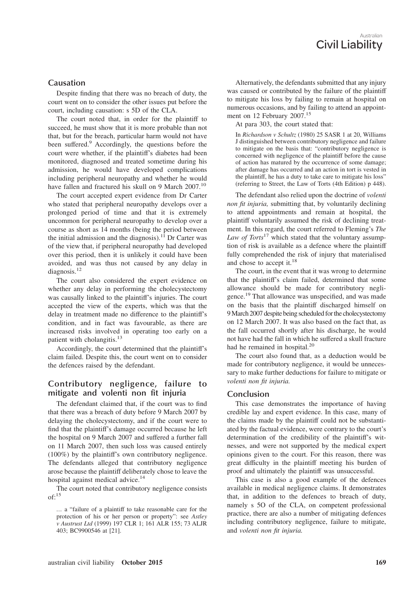## Australian **Civil Liability**

#### **Causation**

Despite finding that there was no breach of duty, the court went on to consider the other issues put before the court, including causation: s 5D of the CLA.

The court noted that, in order for the plaintiff to succeed, he must show that it is more probable than not that, but for the breach, particular harm would not have been suffered.<sup>9</sup> Accordingly, the questions before the court were whether, if the plaintiff's diabetes had been monitored, diagnosed and treated sometime during his admission, he would have developed complications including peripheral neuropathy and whether he would have fallen and fractured his skull on 9 March 2007.<sup>10</sup>

The court accepted expert evidence from Dr Carter who stated that peripheral neuropathy develops over a prolonged period of time and that it is extremely uncommon for peripheral neuropathy to develop over a course as short as 14 months (being the period between the initial admission and the diagnosis).<sup>11</sup> Dr Carter was of the view that, if peripheral neuropathy had developed over this period, then it is unlikely it could have been avoided, and was thus not caused by any delay in diagnosis.<sup>12</sup>

The court also considered the expert evidence on whether any delay in performing the cholecystectomy was causally linked to the plaintiff's injuries. The court accepted the view of the experts, which was that the delay in treatment made no difference to the plaintiff's condition, and in fact was favourable, as there are increased risks involved in operating too early on a patient with cholangitis.<sup>13</sup>

Accordingly, the court determined that the plaintiff's claim failed. Despite this, the court went on to consider the defences raised by the defendant.

### **Contributory negligence, failure to mitigate and volenti non fit injuria**

The defendant claimed that, if the court was to find that there was a breach of duty before 9 March 2007 by delaying the cholecystectomy, and if the court were to find that the plaintiff's damage occurred because he left the hospital on 9 March 2007 and suffered a further fall on 11 March 2007, then such loss was caused entirely (100%) by the plaintiff's own contributory negligence. The defendants alleged that contributory negligence arose because the plaintiff deliberately chose to leave the hospital against medical advice.<sup>14</sup>

The court noted that contributory negligence consists  $of:$ <sup>15</sup>

Alternatively, the defendants submitted that any injury was caused or contributed by the failure of the plaintiff to mitigate his loss by failing to remain at hospital on numerous occasions, and by failing to attend an appointment on 12 February 2007.<sup>15</sup>

At para 303, the court stated that:

In *Richardson v Schultz* (1980) 25 SASR 1 at 20, Williams J distinguished between contributory negligence and failure to mitigate on the basis that: "contributory negligence is concerned with negligence of the plaintiff before the cause of action has matured by the occurrence of some damage; after damage has occurred and an action in tort is vested in the plaintiff, he has a duty to take care to mitigate his loss" (referring to Street, the Law of Torts (4th Edition) p 448).

The defendant also relied upon the doctrine of *volenti non fit injuria,* submitting that, by voluntarily declining to attend appointments and remain at hospital, the plaintiff voluntarily assumed the risk of declining treatment. In this regard, the court referred to Fleming's *The Law of Torts*<sup>17</sup> which stated that the voluntary assumption of risk is available as a defence where the plaintiff fully comprehended the risk of injury that materialised and chose to accept it. $^{18}$ 

The court, in the event that it was wrong to determine that the plaintiff's claim failed, determined that some allowance should be made for contributory negligence.<sup>19</sup> That allowance was unspecified, and was made on the basis that the plaintiff discharged himself on 9 March 2007 despite being scheduled for the cholecystectomy on 12 March 2007. It was also based on the fact that, as the fall occurred shortly after his discharge, he would not have had the fall in which he suffered a skull fracture had he remained in hospital.<sup>20</sup>

The court also found that, as a deduction would be made for contributory negligence, it would be unnecessary to make further deductions for failure to mitigate or *volenti non fit injuria.*

#### **Conclusion**

This case demonstrates the importance of having credible lay and expert evidence. In this case, many of the claims made by the plaintiff could not be substantiated by the factual evidence, were contrary to the court's determination of the credibility of the plaintiff's witnesses, and were not supported by the medical expert opinions given to the court. For this reason, there was great difficulty in the plaintiff meeting his burden of proof and ultimately the plaintiff was unsuccessful.

This case is also a good example of the defences available in medical negligence claims. It demonstrates that, in addition to the defences to breach of duty, namely s 5O of the CLA, on competent professional practice, there are also a number of mitigating defences including contributory negligence, failure to mitigate, and *volenti non fit injuria.*

*<sup>…</sup>* a "failure of a plaintiff to take reasonable care for the protection of his or her person or property": see *Astley v Austrust Ltd* (1999) 197 CLR 1; 161 ALR 155; 73 ALJR 403; BC9900546 at [21].